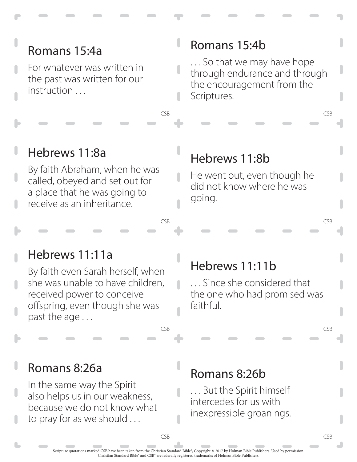For whatever was written in the past was written for our instruction ...

#### Romans 15:4b

. . . So that we may have hope through endurance and through the encouragement from the Scriptures.

CSB CSB

#### Hebrews 11:8a

By faith Abraham, when he was called, obeyed and set out for a place that he was going to receive as an inheritance.

#### Hebrews 11:8b

n

He went out, even though he did not know where he was going.

CSB CSB

#### Hebrews 11:11a

By faith even Sarah herself, when she was unable to have children, received power to conceive offspring, even though she was past the age . . .

#### Hebrews 11:11b

. . . Since she considered that the one who had promised was faithful.

CSB CSB

#### Romans 8:26a

In the same way the Spirit also helps us in our weakness, because we do not know what to pray for as we should ...

#### Romans 8:26b

. . . But the Spirit himself intercedes for us with inexpressible groanings.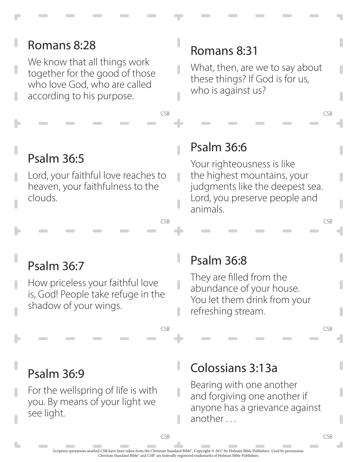#### Romans 8:28 Romans 8:31 We know that all things work What, then, are we to say about together for the good of those these things? If God is for us, who love God, who are called who is against us? according to his purpose.CSB CSB Psalm 36:6 Psalm 36:5 Lord, your faithful love reaches to  $\overline{\phantom{a}}$

heaven, your faithfulness to the clouds.

Your righteousness is like the highest mountains, your judgments like the deepest sea. Lord, you preserve people and animals.

CSB CSB

# Psalm 36:7

How priceless your faithful love is, God! People take refuge in the shadow of your wings.

## Psalm 36:8

 $\overline{\phantom{a}}$ 

They are filled from the abundance of your house. You let them drink from your refreshing stream.

CSB CSB

# Psalm 36:9

For the wellspring of life is with you. By means of your light we see light.

## Colossians 3:13a

Bearing with one another and forgiving one another if anyone has a grievance against another . . .

ı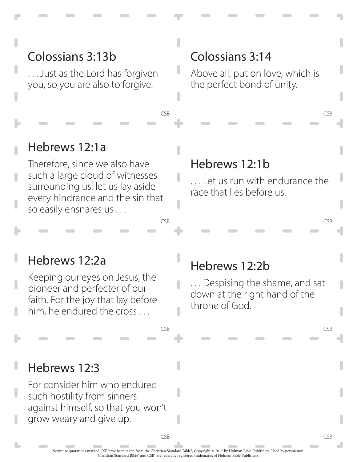. . . Just as the Lord has forgiven you, so you are also to forgive.

#### Colossians 3:14

Above all, put on love, which is the perfect bond of unity.

CSB CSB

#### Hebrews 12:1a

Therefore, since we also have such a large cloud of witnesses surrounding us, let us lay aside every hindrance and the sin that so easily ensnares us . . .

#### Hebrews 12:1b

... Let us run with endurance the race that lies before us.

CSB CSB

#### Hebrews 12:2a

Keeping our eyes on Jesus, the pioneer and perfecter of our faith. For the joy that lay before him, he endured the cross . . .

#### Hebrews 12:2b

. . . Despising the shame, and sat down at the right hand of the throne of God.

CSB CSB

CSB CSB

#### Hebrews 12:3

For consider him who endured such hostility from sinners against himself, so that you won't grow weary and give up.

> Scripture quotations marked CSB have been taken from the Christian Standard Bible®, Copyright © 2017 by Holman Bible Publishers. Used by permission. Christian Standard Bible® and CSB® are federally registered trademarks of Holman Bible Publishers.

n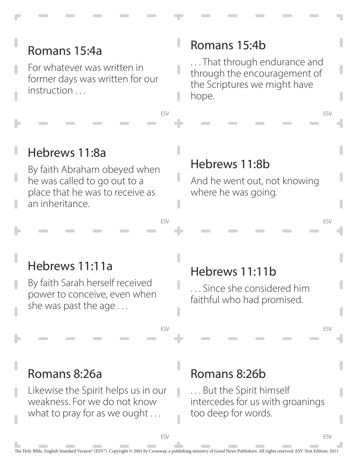For whatever was written in former days was written for our instruction ...

#### Romans 15:4b

. . . That through endurance and through the encouragement of the Scriptures we might have hope.

ESV

ESV

ESV

ESV

### Hebrews 11:8a

By faith Abraham obeyed when he was called to go out to a place that he was to receive as an inheritance.

#### Hebrews 11:8b

And he went out, not knowing where he was going.

#### Hebrews 11:11a

By faith Sarah herself received power to conceive, even when she was past the age . . .

### Hebrews 11:11b

. . . Since she considered him faithful who had promised.

### Romans 8:26a

Likewise the Spirit helps us in our weakness. For we do not know what to pray for as we ought ...

#### Romans 8:26b

. . . But the Spirit himself intercedes for us with groanings too deep for words.

ESV

ESV

ESV

ESV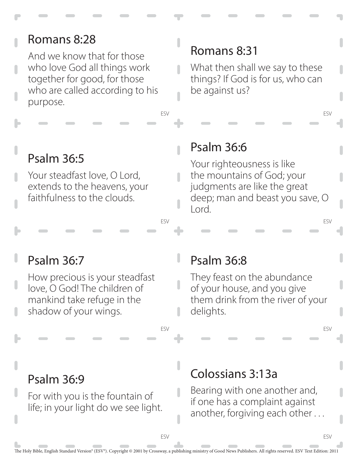And we know that for those who love God all things work together for good, for those who are called according to his purpose.

## Psalm 36:5

Your steadfast love, O Lord, extends to the heavens, your faithfulness to the clouds.

### Romans 8:31

What then shall we say to these things? If God is for us, who can be against us?

ESV

ESV

ESV

ESV

#### Psalm 36:6

ESV

ESV

Your righteousness is like the mountains of God; your judgments are like the great deep; man and beast you save, O Lord.

### Psalm 36:7

How precious is your steadfast love, O God! The children of mankind take refuge in the shadow of your wings.

#### Psalm 36:8

They feast on the abundance of your house, and you give them drink from the river of your delights.

Psalm 36:9

For with you is the fountain of life; in your light do we see light.

### Colossians 3:13a

Bearing with one another and, if one has a complaint against another, forgiving each other . . .

ESV

ESV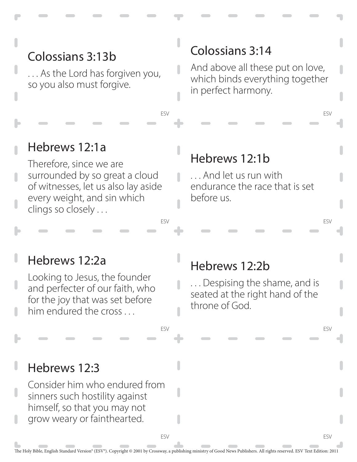. . . As the Lord has forgiven you, so you also must forgive.

### Colossians 3:14

And above all these put on love, which binds everything together in perfect harmony.

ESV

ESV

ESV

ESV

#### Hebrews 12:1a

Therefore, since we are surrounded by so great a cloud of witnesses, let us also lay aside every weight, and sin which clings so closely . . .

#### Hebrews 12:1b

. . . And let us run with endurance the race that is set before us.

#### Hebrews 12:2a

Looking to Jesus, the founder and perfecter of our faith, who for the joy that was set before him endured the cross...

#### Hebrews 12:2b

. . . Despising the shame, and is seated at the right hand of the throne of God.

#### Hebrews 12:3

Consider him who endured from sinners such hostility against himself, so that you may not grow weary or fainthearted.

ESV

ESV

ESV

ESV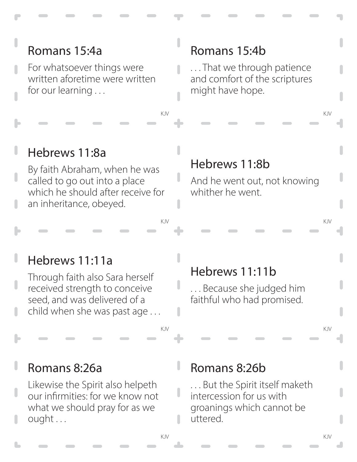For whatsoever things were written aforetime were written for our learning . . .

### Romans 15:4b

. . . That we through patience and comfort of the scriptures might have hope.

KJV KJV

#### Hebrews 11:8a

By faith Abraham, when he was called to go out into a place which he should after receive for an inheritance, obeyed.

#### Hebrews 11:8b

And he went out, not knowing whither he went.

KJV KJV

#### Hebrews 11:11a

Through faith also Sara herself received strength to conceive seed, and was delivered of a child when she was past age . . .

### Hebrews 11:11b

. . . Because she judged him faithful who had promised.

KJV KJV

#### Romans 8:26a

Likewise the Spirit also helpeth our infirmities: for we know not what we should pray for as we ought . . .

#### Romans 8:26b

. . . But the Spirit itself maketh intercession for us with groanings which cannot be uttered.

ı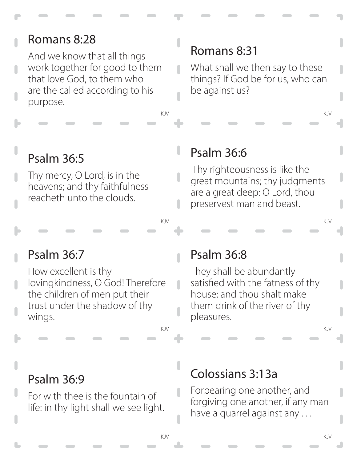And we know that all things work together for good to them that love God, to them who are the called according to his purpose.

## Psalm 36:5

Thy mercy, O Lord, is in the heavens; and thy faithfulness reacheth unto the clouds.

### Romans 8:31

What shall we then say to these things? If God be for us, who can be against us?

KJV KJV

### Psalm 36:6

 Thy righteousness is like the great mountains; thy judgments are a great deep: O Lord, thou preservest man and beast.

KJV KJV

### Psalm 36:7

How excellent is thy lovingkindness, O God! Therefore the children of men put their trust under the shadow of thy wings.

### Psalm 36:8

 $\overline{\phantom{a}}$ 

 $\overline{\phantom{a}}$ 

They shall be abundantly satisfied with the fatness of thy house; and thou shalt make them drink of the river of thy pleasures.

KJV KJV

#### Psalm 36:9

For with thee is the fountain of life: in thy light shall we see light.

### Colossians 3:13a

Forbearing one another, and forgiving one another, if any man have a quarrel against any . . .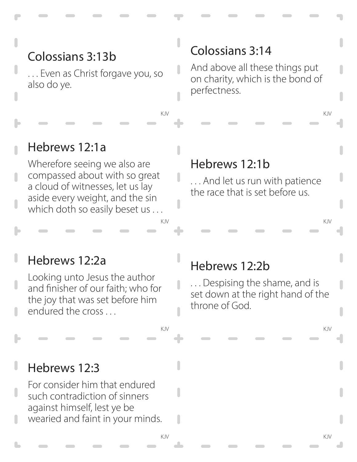. . . Even as Christ forgave you, so also do ye.

### Colossians 3:14

I

And above all these things put on charity, which is the bond of perfectness.

KJV KJV

#### Hebrews 12:1a

Wherefore seeing we also are compassed about with so great a cloud of witnesses, let us lay aside every weight, and the sin which doth so easily beset us ...

#### Hebrews 12:1b

. . . And let us run with patience the race that is set before us.

KJV KJV

#### Hebrews 12:2a

Looking unto Jesus the author and finisher of our faith; who for the joy that was set before him endured the cross . . .

#### Hebrews 12:2b

. . . Despising the shame, and is set down at the right hand of the throne of God.

KJV KJV

#### Hebrews 12:3

For consider him that endured such contradiction of sinners against himself, lest ye be wearied and faint in your minds. П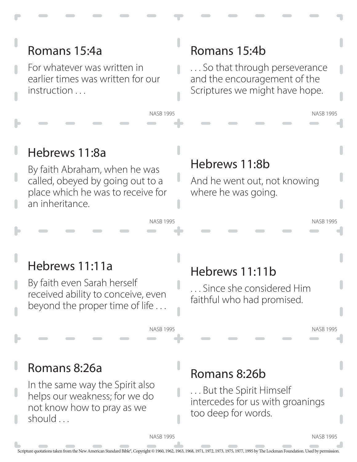For whatever was written in earlier times was written for our instruction ...

### Romans 15:4b

. . . So that through perseverance and the encouragement of the Scriptures we might have hope.

### Hebrews 11:8a

By faith Abraham, when he was called, obeyed by going out to a place which he was to receive for an inheritance.

#### Hebrews 11:8b

And he went out, not knowing where he was going.

### Hebrews 11:11a

By faith even Sarah herself received ability to conceive, even beyond the proper time of life . . .

## Hebrews 11:11b

. . . Since she considered Him faithful who had promised.

NASB 1995

NASB 1995

NASB 1995

### Romans 8:26a

In the same way the Spirit also helps our weakness; for we do not know how to pray as we should ...

### Romans 8:26b

. . . But the Spirit Himself intercedes for us with groanings too deep for words.

NASB 1995

NASB 1995

NASB 1995

**NASR 1995**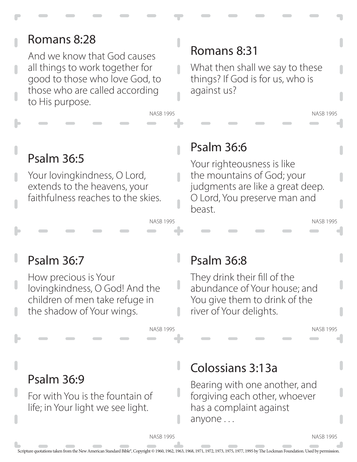And we know that God causes all things to work together for good to those who love God, to those who are called according to His purpose.

### Romans 8:31

What then shall we say to these things? If God is for us, who is against us?

# Psalm 36:5

Your lovingkindness, O Lord, extends to the heavens, your faithfulness reaches to the skies.

### Psalm 36:6

NASB 1995

NASB 1995

n

ı

Your righteousness is like the mountains of God; your judgments are like a great deep. O Lord, You preserve man and beast.

NASB 1995

NASB 1995

# Psalm 36:7

How precious is Your lovingkindness, O God! And the children of men take refuge in the shadow of Your wings.

### Psalm 36:8

They drink their fill of the abundance of Your house; and You give them to drink of the river of Your delights.

NASB 1995

### Psalm 36:9

For with You is the fountain of life; in Your light we see light.

### Colossians 3:13a

Bearing with one another, and forgiving each other, whoever has a complaint against anyone . . .

NASB 1995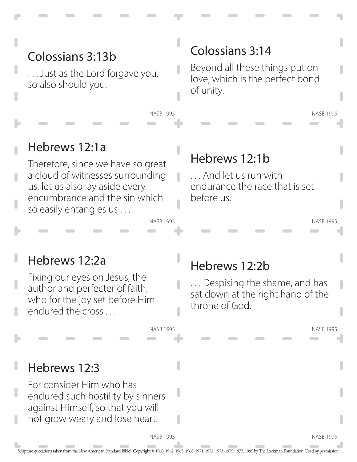. . . Just as the Lord forgave you, so also should you.

### Colossians 3:14

Beyond all these things put on love, which is the perfect bond of unity.

NASB 1995

NASB 1995

## Hebrews 12:1a

Therefore, since we have so great a cloud of witnesses surrounding us, let us also lay aside every encumbrance and the sin which so easily entangles us . . .

### Hebrews 12:1b

. . . And let us run with endurance the race that is set before us.

NASB 1995

NASB 1995

### Hebrews 12:2a

Fixing our eyes on Jesus, the author and perfecter of faith, who for the joy set before Him endured the cross . . .

#### Hebrews 12:2b

. . . Despising the shame, and has sat down at the right hand of the throne of God.

NASB 1995

#### Hebrews 12:3

For consider Him who has endured such hostility by sinners against Himself, so that you will not grow weary and lose heart.

NASB 1995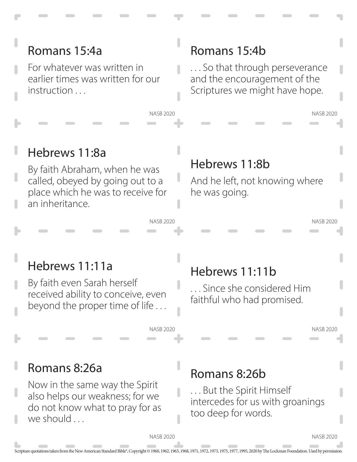For whatever was written in earlier times was written for our instruction ...

### Romans 15:4b

. . . So that through perseverance and the encouragement of the Scriptures we might have hope.

### Hebrews 11:8a

By faith Abraham, when he was called, obeyed by going out to a place which he was to receive for an inheritance.

### Hebrews 11:8b

And he left, not knowing where he was going.

### Hebrews 11:11a

By faith even Sarah herself received ability to conceive, even beyond the proper time of life . . .

# Hebrews 11:11b

. . . Since she considered Him faithful who had promised.

NASB 2020

NASB 2020

NASB 2020

### Romans 8:26a

Now in the same way the Spirit also helps our weakness; for we do not know what to pray for as we should ...

### Romans 8:26b

. . . But the Spirit Himself intercedes for us with groanings too deep for words.

NASB 2020

NASB 2020

NASB 2020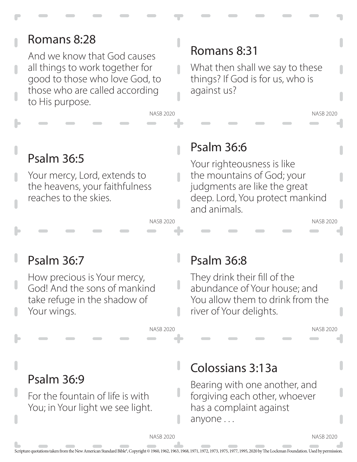And we know that God causes all things to work together for good to those who love God, to those who are called according to His purpose.

### Romans 8:31

What then shall we say to these things? If God is for us, who is against us?

# Psalm 36:5

Your mercy, Lord, extends to the heavens, your faithfulness reaches to the skies.

### Psalm 36:6

NASB 2020

NASB 2020

n

I

Your righteousness is like the mountains of God; your judgments are like the great deep. Lord, You protect mankind and animals.

NASB 2020

NASB 2020

## Psalm 36:7

Psalm 36:9

How precious is Your mercy, God! And the sons of mankind take refuge in the shadow of Your wings.

For the fountain of life is with

You; in Your light we see light.

### Psalm 36:8

They drink their fill of the abundance of Your house; and You allow them to drink from the river of Your delights.

NASB 2020

### Colossians 3:13a

Bearing with one another, and forgiving each other, whoever has a complaint against anyone . . .

NASB 2020